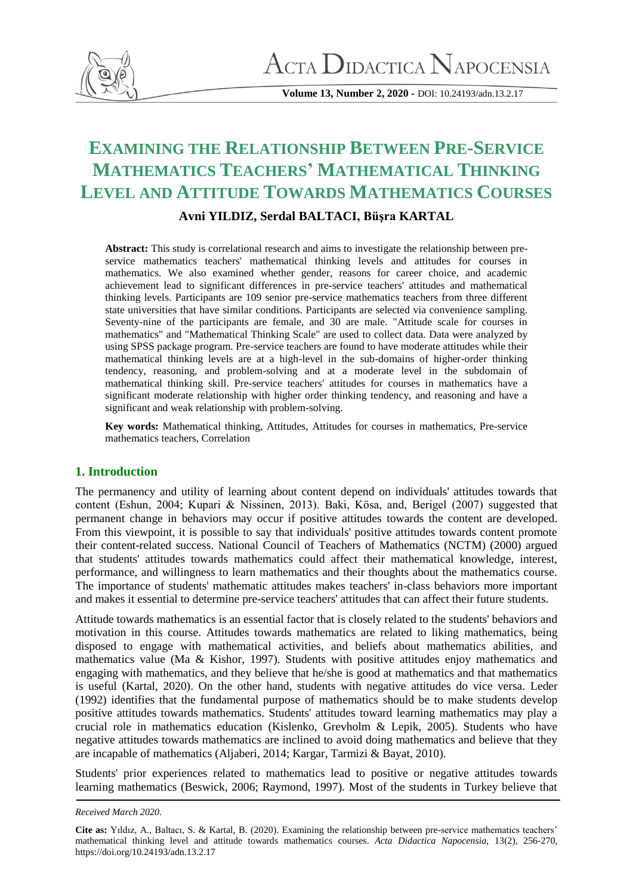

**Volume 13, Number 2, 2020 -** DOI: 10.24193/adn.13.2.17

# **EXAMINING THE RELATIONSHIP BETWEEN PRE-SERVICE MATHEMATICS TEACHERS' MATHEMATICAL THINKING LEVEL AND ATTITUDE TOWARDS MATHEMATICS COURSES**

## **Avni YILDIZ, Serdal BALTACI, Büşra KARTAL**

**Abstract:** This study is correlational research and aims to investigate the relationship between preservice mathematics teachers' mathematical thinking levels and attitudes for courses in mathematics. We also examined whether gender, reasons for career choice, and academic achievement lead to significant differences in pre-service teachers' attitudes and mathematical thinking levels. Participants are 109 senior pre-service mathematics teachers from three different state universities that have similar conditions. Participants are selected via convenience sampling. Seventy-nine of the participants are female, and 30 are male. "Attitude scale for courses in mathematics" and "Mathematical Thinking Scale" are used to collect data. Data were analyzed by using SPSS package program. Pre-service teachers are found to have moderate attitudes while their mathematical thinking levels are at a high-level in the sub-domains of higher-order thinking tendency, reasoning, and problem-solving and at a moderate level in the subdomain of mathematical thinking skill. Pre-service teachers' attitudes for courses in mathematics have a significant moderate relationship with higher order thinking tendency, and reasoning and have a significant and weak relationship with problem-solving.

**Key words:** Mathematical thinking, Attitudes, Attitudes for courses in mathematics, Pre-service mathematics teachers, Correlation

## **1. Introduction**

The permanency and utility of learning about content depend on individuals' attitudes towards that content (Eshun, 2004; Kupari & Nissinen, 2013). Baki, Kösa, and, Berigel (2007) suggested that permanent change in behaviors may occur if positive attitudes towards the content are developed. From this viewpoint, it is possible to say that individuals' positive attitudes towards content promote their content-related success. National Council of Teachers of Mathematics (NCTM) (2000) argued that students' attitudes towards mathematics could affect their mathematical knowledge, interest, performance, and willingness to learn mathematics and their thoughts about the mathematics course. The importance of students' mathematic attitudes makes teachers' in-class behaviors more important and makes it essential to determine pre-service teachers' attitudes that can affect their future students.

Attitude towards mathematics is an essential factor that is closely related to the students' behaviors and motivation in this course. Attitudes towards mathematics are related to liking mathematics, being disposed to engage with mathematical activities, and beliefs about mathematics abilities, and mathematics value (Ma & Kishor, 1997). Students with positive attitudes enjoy mathematics and engaging with mathematics, and they believe that he/she is good at mathematics and that mathematics is useful (Kartal, 2020). On the other hand, students with negative attitudes do vice versa. Leder (1992) identifies that the fundamental purpose of mathematics should be to make students develop positive attitudes towards mathematics. Students' attitudes toward learning mathematics may play a crucial role in mathematics education (Kislenko, Grevholm & Lepik, 2005). Students who have negative attitudes towards mathematics are inclined to avoid doing mathematics and believe that they are incapable of mathematics (Aljaberi, 2014; Kargar, Tarmizi & Bayat, 2010).

Students' prior experiences related to mathematics lead to positive or negative attitudes towards learning mathematics (Beswick, 2006; Raymond, 1997). Most of the students in Turkey believe that

*Received March 2020.*

**Cite as:** Yıldız, A., Baltacı, S. & Kartal, B. (2020). Examining the relationship between pre-service mathematics teachers' mathematical thinking level and attitude towards mathematics courses. *Acta Didactica Napocensia,* 13(2), 256-270, https://doi.org/10.24193/adn.13.2.17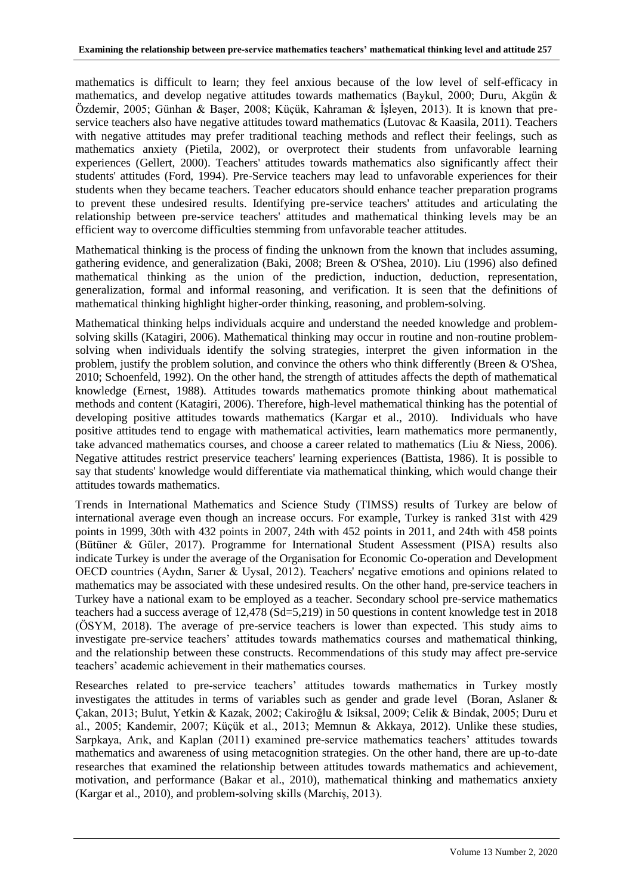mathematics is difficult to learn; they feel anxious because of the low level of self-efficacy in mathematics, and develop negative attitudes towards mathematics (Baykul, 2000; Duru, Akgün & Özdemir, 2005; Günhan & Başer, 2008; Küçük, Kahraman & İşleyen, 2013). It is known that preservice teachers also have negative attitudes toward mathematics (Lutovac & Kaasila, 2011). Teachers with negative attitudes may prefer traditional teaching methods and reflect their feelings, such as mathematics anxiety (Pietila, 2002), or overprotect their students from unfavorable learning experiences (Gellert, 2000). Teachers' attitudes towards mathematics also significantly affect their students' attitudes (Ford, 1994). Pre-Service teachers may lead to unfavorable experiences for their students when they became teachers. Teacher educators should enhance teacher preparation programs to prevent these undesired results. Identifying pre-service teachers' attitudes and articulating the relationship between pre-service teachers' attitudes and mathematical thinking levels may be an efficient way to overcome difficulties stemming from unfavorable teacher attitudes.

Mathematical thinking is the process of finding the unknown from the known that includes assuming, gathering evidence, and generalization (Baki, 2008; Breen & O'Shea, 2010). Liu (1996) also defined mathematical thinking as the union of the prediction, induction, deduction, representation, generalization, formal and informal reasoning, and verification. It is seen that the definitions of mathematical thinking highlight higher-order thinking, reasoning, and problem-solving.

Mathematical thinking helps individuals acquire and understand the needed knowledge and problemsolving skills (Katagiri, 2006). Mathematical thinking may occur in routine and non-routine problemsolving when individuals identify the solving strategies, interpret the given information in the problem, justify the problem solution, and convince the others who think differently (Breen & O'Shea, 2010; Schoenfeld, 1992). On the other hand, the strength of attitudes affects the depth of mathematical knowledge (Ernest, 1988). Attitudes towards mathematics promote thinking about mathematical methods and content (Katagiri, 2006). Therefore, high-level mathematical thinking has the potential of developing positive attitudes towards mathematics (Kargar et al., 2010). Individuals who have positive attitudes tend to engage with mathematical activities, learn mathematics more permanently, take advanced mathematics courses, and choose a career related to mathematics (Liu & Niess, 2006). Negative attitudes restrict preservice teachers' learning experiences (Battista, 1986). It is possible to say that students' knowledge would differentiate via mathematical thinking, which would change their attitudes towards mathematics.

Trends in International Mathematics and Science Study (TIMSS) results of Turkey are below of international average even though an increase occurs. For example, Turkey is ranked 31st with 429 points in 1999, 30th with 432 points in 2007, 24th with 452 points in 2011, and 24th with 458 points (Bütüner & Güler, 2017). Programme for International Student Assessment (PISA) results also indicate Turkey is under the average of the Organisation for Economic Co-operation and Development OECD countries (Aydın, Sarıer & Uysal, 2012). Teachers' negative emotions and opinions related to mathematics may be associated with these undesired results. On the other hand, pre-service teachers in Turkey have a national exam to be employed as a teacher. Secondary school pre-service mathematics teachers had a success average of 12,478 (Sd=5,219) in 50 questions in content knowledge test in 2018 (ÖSYM, 2018). The average of pre-service teachers is lower than expected. This study aims to investigate pre-service teachers' attitudes towards mathematics courses and mathematical thinking, and the relationship between these constructs. Recommendations of this study may affect pre-service teachers' academic achievement in their mathematics courses.

Researches related to pre-service teachers' attitudes towards mathematics in Turkey mostly investigates the attitudes in terms of variables such as gender and grade level (Boran, Aslaner & Çakan, 2013; Bulut, Yetkin & Kazak, 2002; Cakiroğlu & Isiksal, 2009; Celik & Bindak, 2005; Duru et al., 2005; Kandemir, 2007; Küçük et al., 2013; Memnun & Akkaya, 2012). Unlike these studies, Sarpkaya, Arık, and Kaplan (2011) examined pre-service mathematics teachers' attitudes towards mathematics and awareness of using metacognition strategies. On the other hand, there are up-to-date researches that examined the relationship between attitudes towards mathematics and achievement, motivation, and performance (Bakar et al., 2010), mathematical thinking and mathematics anxiety (Kargar et al., 2010), and problem-solving skills (Marchiş, 2013).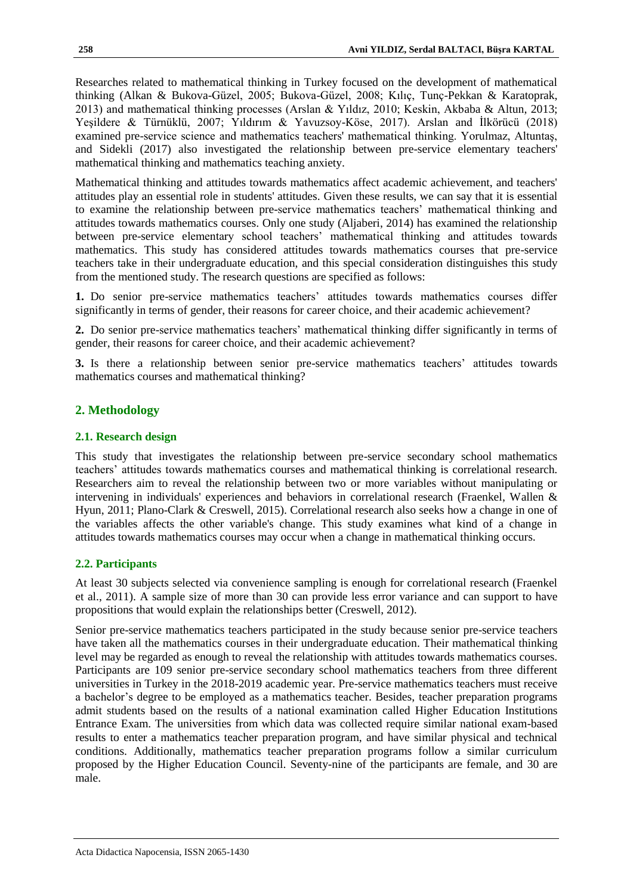Researches related to mathematical thinking in Turkey focused on the development of mathematical thinking (Alkan & Bukova-Güzel, 2005; Bukova-Güzel, 2008; Kılıç, Tunç-Pekkan & Karatoprak, 2013) and mathematical thinking processes (Arslan & Yıldız, 2010; Keskin, Akbaba & Altun, 2013; Yeşildere & Türnüklü, 2007; Yıldırım & Yavuzsoy-Köse, 2017). Arslan and İlkörücü (2018) examined pre-service science and mathematics teachers' mathematical thinking. Yorulmaz, Altuntaş, and Sidekli (2017) also investigated the relationship between pre-service elementary teachers' mathematical thinking and mathematics teaching anxiety.

Mathematical thinking and attitudes towards mathematics affect academic achievement, and teachers' attitudes play an essential role in students' attitudes. Given these results, we can say that it is essential to examine the relationship between pre-service mathematics teachers' mathematical thinking and attitudes towards mathematics courses. Only one study (Aljaberi, 2014) has examined the relationship between pre-service elementary school teachers' mathematical thinking and attitudes towards mathematics. This study has considered attitudes towards mathematics courses that pre-service teachers take in their undergraduate education, and this special consideration distinguishes this study from the mentioned study. The research questions are specified as follows:

**1.** Do senior pre-service mathematics teachers' attitudes towards mathematics courses differ significantly in terms of gender, their reasons for career choice, and their academic achievement?

**2.** Do senior pre-service mathematics teachers' mathematical thinking differ significantly in terms of gender, their reasons for career choice, and their academic achievement?

**3.** Is there a relationship between senior pre-service mathematics teachers' attitudes towards mathematics courses and mathematical thinking?

# **2. Methodology**

## **2.1. Research design**

This study that investigates the relationship between pre-service secondary school mathematics teachers' attitudes towards mathematics courses and mathematical thinking is correlational research. Researchers aim to reveal the relationship between two or more variables without manipulating or intervening in individuals' experiences and behaviors in correlational research (Fraenkel, Wallen & Hyun, 2011; Plano-Clark & Creswell, 2015). Correlational research also seeks how a change in one of the variables affects the other variable's change. This study examines what kind of a change in attitudes towards mathematics courses may occur when a change in mathematical thinking occurs.

## **2.2. Participants**

At least 30 subjects selected via convenience sampling is enough for correlational research (Fraenkel et al., 2011). A sample size of more than 30 can provide less error variance and can support to have propositions that would explain the relationships better (Creswell, 2012).

Senior pre-service mathematics teachers participated in the study because senior pre-service teachers have taken all the mathematics courses in their undergraduate education. Their mathematical thinking level may be regarded as enough to reveal the relationship with attitudes towards mathematics courses. Participants are 109 senior pre-service secondary school mathematics teachers from three different universities in Turkey in the 2018-2019 academic year. Pre-service mathematics teachers must receive a bachelor's degree to be employed as a mathematics teacher. Besides, teacher preparation programs admit students based on the results of a national examination called Higher Education Institutions Entrance Exam. The universities from which data was collected require similar national exam-based results to enter a mathematics teacher preparation program, and have similar physical and technical conditions. Additionally, mathematics teacher preparation programs follow a similar curriculum proposed by the Higher Education Council. Seventy-nine of the participants are female, and 30 are male.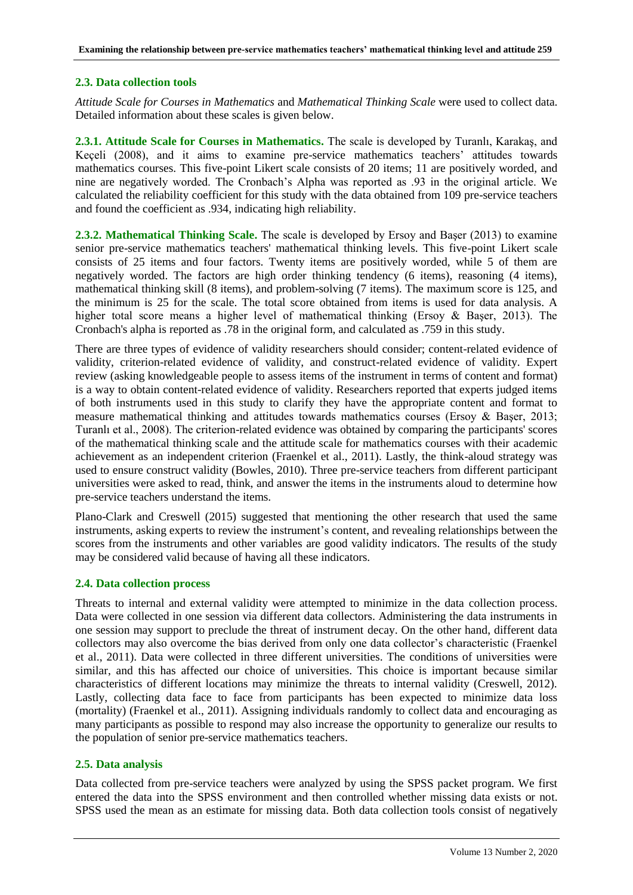#### **2.3. Data collection tools**

*Attitude Scale for Courses in Mathematics* and *Mathematical Thinking Scale* were used to collect data. Detailed information about these scales is given below.

**2.3.1. Attitude Scale for Courses in Mathematics.** The scale is developed by Turanlı, Karakaş, and Keçeli (2008), and it aims to examine pre-service mathematics teachers' attitudes towards mathematics courses. This five-point Likert scale consists of 20 items; 11 are positively worded, and nine are negatively worded. The Cronbach's Alpha was reported as .93 in the original article. We calculated the reliability coefficient for this study with the data obtained from 109 pre-service teachers and found the coefficient as .934, indicating high reliability.

**2.3.2. Mathematical Thinking Scale.** The scale is developed by Ersoy and Başer (2013) to examine senior pre-service mathematics teachers' mathematical thinking levels. This five-point Likert scale consists of 25 items and four factors. Twenty items are positively worded, while 5 of them are negatively worded. The factors are high order thinking tendency (6 items), reasoning (4 items), mathematical thinking skill (8 items), and problem-solving (7 items). The maximum score is 125, and the minimum is 25 for the scale. The total score obtained from items is used for data analysis. A higher total score means a higher level of mathematical thinking (Ersoy & Baser, 2013). The Cronbach's alpha is reported as .78 in the original form, and calculated as .759 in this study.

There are three types of evidence of validity researchers should consider; content-related evidence of validity, criterion-related evidence of validity, and construct-related evidence of validity. Expert review (asking knowledgeable people to assess items of the instrument in terms of content and format) is a way to obtain content-related evidence of validity. Researchers reported that experts judged items of both instruments used in this study to clarify they have the appropriate content and format to measure mathematical thinking and attitudes towards mathematics courses (Ersoy & Başer, 2013; Turanlı et al., 2008). The criterion-related evidence was obtained by comparing the participants' scores of the mathematical thinking scale and the attitude scale for mathematics courses with their academic achievement as an independent criterion (Fraenkel et al., 2011). Lastly, the think-aloud strategy was used to ensure construct validity (Bowles, 2010). Three pre-service teachers from different participant universities were asked to read, think, and answer the items in the instruments aloud to determine how pre-service teachers understand the items.

Plano-Clark and Creswell (2015) suggested that mentioning the other research that used the same instruments, asking experts to review the instrument's content, and revealing relationships between the scores from the instruments and other variables are good validity indicators. The results of the study may be considered valid because of having all these indicators.

## **2.4. Data collection process**

Threats to internal and external validity were attempted to minimize in the data collection process. Data were collected in one session via different data collectors. Administering the data instruments in one session may support to preclude the threat of instrument decay. On the other hand, different data collectors may also overcome the bias derived from only one data collector's characteristic (Fraenkel et al., 2011). Data were collected in three different universities. The conditions of universities were similar, and this has affected our choice of universities. This choice is important because similar characteristics of different locations may minimize the threats to internal validity (Creswell, 2012). Lastly, collecting data face to face from participants has been expected to minimize data loss (mortality) (Fraenkel et al., 2011). Assigning individuals randomly to collect data and encouraging as many participants as possible to respond may also increase the opportunity to generalize our results to the population of senior pre-service mathematics teachers.

#### **2.5. Data analysis**

Data collected from pre-service teachers were analyzed by using the SPSS packet program. We first entered the data into the SPSS environment and then controlled whether missing data exists or not. SPSS used the mean as an estimate for missing data. Both data collection tools consist of negatively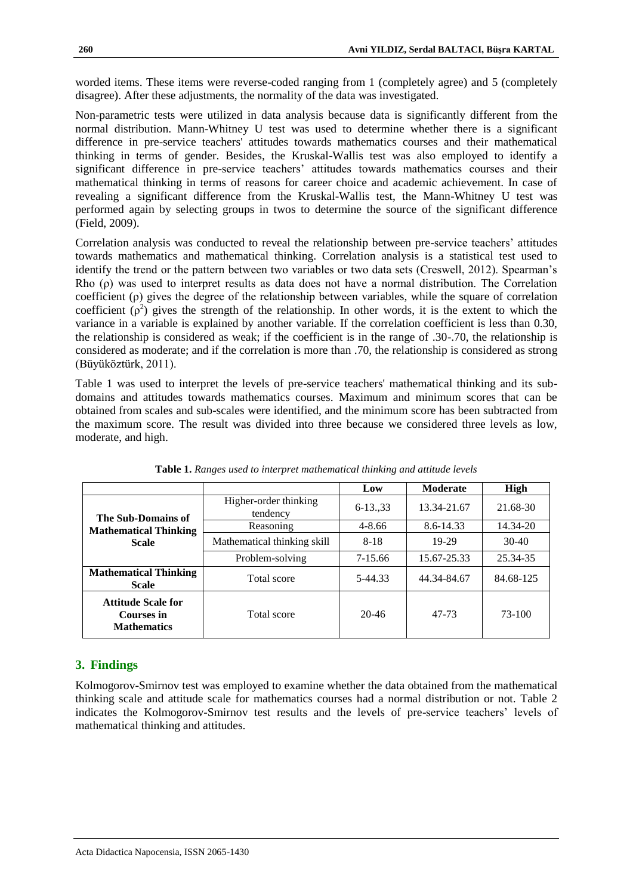worded items. These items were reverse-coded ranging from 1 (completely agree) and 5 (completely disagree). After these adjustments, the normality of the data was investigated.

Non-parametric tests were utilized in data analysis because data is significantly different from the normal distribution. Mann-Whitney U test was used to determine whether there is a significant difference in pre-service teachers' attitudes towards mathematics courses and their mathematical thinking in terms of gender. Besides, the Kruskal-Wallis test was also employed to identify a significant difference in pre-service teachers' attitudes towards mathematics courses and their mathematical thinking in terms of reasons for career choice and academic achievement. In case of revealing a significant difference from the Kruskal-Wallis test, the Mann-Whitney U test was performed again by selecting groups in twos to determine the source of the significant difference (Field, 2009).

Correlation analysis was conducted to reveal the relationship between pre-service teachers' attitudes towards mathematics and mathematical thinking. Correlation analysis is a statistical test used to identify the trend or the pattern between two variables or two data sets (Creswell, 2012). Spearman's Rho (ρ) was used to interpret results as data does not have a normal distribution. The Correlation coefficient (ρ) gives the degree of the relationship between variables, while the square of correlation coefficient  $(\rho^2)$  gives the strength of the relationship. In other words, it is the extent to which the variance in a variable is explained by another variable. If the correlation coefficient is less than 0.30, the relationship is considered as weak; if the coefficient is in the range of .30-.70, the relationship is considered as moderate; and if the correlation is more than .70, the relationship is considered as strong (Büyüköztürk, 2011).

Table 1 was used to interpret the levels of pre-service teachers' mathematical thinking and its subdomains and attitudes towards mathematics courses. Maximum and minimum scores that can be obtained from scales and sub-scales were identified, and the minimum score has been subtracted from the maximum score. The result was divided into three because we considered three levels as low, moderate, and high.

|                                                               |                                   | Low                | <b>Moderate</b> | High      |
|---------------------------------------------------------------|-----------------------------------|--------------------|-----------------|-----------|
| The Sub-Domains of                                            | Higher-order thinking<br>tendency | $6 - 13 \ldots 33$ | 13.34-21.67     | 21.68-30  |
| <b>Mathematical Thinking</b><br><b>Scale</b>                  | Reasoning                         | $4 - 8.66$         | 8.6-14.33       | 14.34-20  |
|                                                               | Mathematical thinking skill       | $8 - 18$           | 19-29           | 30-40     |
|                                                               | Problem-solving                   | 7-15.66            | 15.67-25.33     | 25.34-35  |
| <b>Mathematical Thinking</b><br><b>Scale</b>                  | Total score                       | 5-44.33            | 44.34-84.67     | 84.68-125 |
| <b>Attitude Scale for</b><br>Courses in<br><b>Mathematics</b> | Total score                       | $20 - 46$          | 47-73           | 73-100    |

**Table 1.** *Ranges used to interpret mathematical thinking and attitude levels*

## **3. Findings**

Kolmogorov-Smirnov test was employed to examine whether the data obtained from the mathematical thinking scale and attitude scale for mathematics courses had a normal distribution or not. Table 2 indicates the Kolmogorov-Smirnov test results and the levels of pre-service teachers' levels of mathematical thinking and attitudes.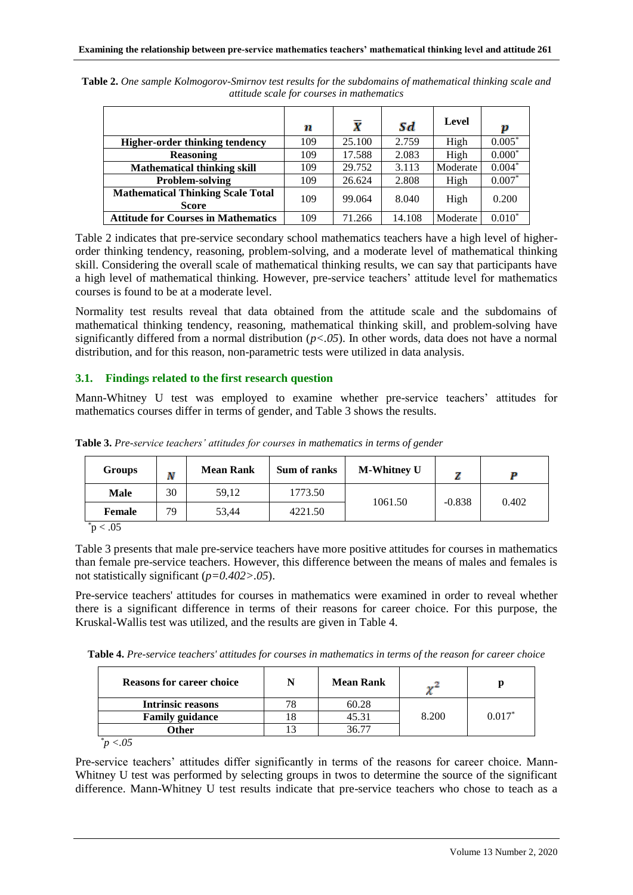|                                                          | n   | X      | Sd     | Level    | p        |
|----------------------------------------------------------|-----|--------|--------|----------|----------|
| <b>Higher-order thinking tendency</b>                    | 109 | 25.100 | 2.759  | High     | $0.005*$ |
| <b>Reasoning</b>                                         | 109 | 17.588 | 2.083  | High     | $0.000*$ |
| <b>Mathematical thinking skill</b>                       | 109 | 29.752 | 3.113  | Moderate | $0.004*$ |
| Problem-solving                                          | 109 | 26.624 | 2.808  | High     | $0.007*$ |
| <b>Mathematical Thinking Scale Total</b><br><b>Score</b> | 109 | 99.064 | 8.040  | High     | 0.200    |
| <b>Attitude for Courses in Mathematics</b>               | 109 | 71.266 | 14.108 | Moderate | $0.010*$ |

**Table 2.** *One sample Kolmogorov-Smirnov test results for the subdomains of mathematical thinking scale and attitude scale for courses in mathematics*

Table 2 indicates that pre-service secondary school mathematics teachers have a high level of higherorder thinking tendency, reasoning, problem-solving, and a moderate level of mathematical thinking skill. Considering the overall scale of mathematical thinking results, we can say that participants have a high level of mathematical thinking. However, pre-service teachers' attitude level for mathematics courses is found to be at a moderate level.

Normality test results reveal that data obtained from the attitude scale and the subdomains of mathematical thinking tendency, reasoning, mathematical thinking skill, and problem-solving have significantly differed from a normal distribution (*p<.05*). In other words, data does not have a normal distribution, and for this reason, non-parametric tests were utilized in data analysis.

## **3.1. Findings related to the first research question**

Mann-Whitney U test was employed to examine whether pre-service teachers' attitudes for mathematics courses differ in terms of gender, and Table 3 shows the results.

| Groups      | Ν  | <b>Mean Rank</b> | Sum of ranks | <b>M-Whitney U</b> |          |       |
|-------------|----|------------------|--------------|--------------------|----------|-------|
| Male        | 30 | 59.12            | 1773.50      | 1061.50            | $-0.838$ | 0.402 |
| Female      | 79 | 53.44            | 4221.50      |                    |          |       |
| $\leq 0.05$ |    |                  |              |                    |          |       |

**Table 3.** *Pre-service teachers' attitudes for courses in mathematics in terms of gender*

Table 3 presents that male pre-service teachers have more positive attitudes for courses in mathematics than female pre-service teachers. However, this difference between the means of males and females is not statistically significant (*p=0.402>.05*).

Pre-service teachers' attitudes for courses in mathematics were examined in order to reveal whether there is a significant difference in terms of their reasons for career choice. For this purpose, the Kruskal-Wallis test was utilized, and the results are given in Table 4.

**Table 4.** *Pre-service teachers' attitudes for courses in mathematics in terms of the reason for career choice*

| <b>Reasons for career choice</b> | <b>Mean Rank</b> | -     |          |  |
|----------------------------------|------------------|-------|----------|--|
| <b>Intrinsic reasons</b>         | 60.28            |       |          |  |
| <b>Family guidance</b>           | 45.31            | 8.200 | $0.017*$ |  |
| Other                            |                  |       |          |  |
| $\sim$ $\sim$ $\sim$ $\sim$      |                  |       |          |  |

*\*p <.05*

Pre-service teachers' attitudes differ significantly in terms of the reasons for career choice. Mann-Whitney U test was performed by selecting groups in twos to determine the source of the significant difference. Mann-Whitney U test results indicate that pre-service teachers who chose to teach as a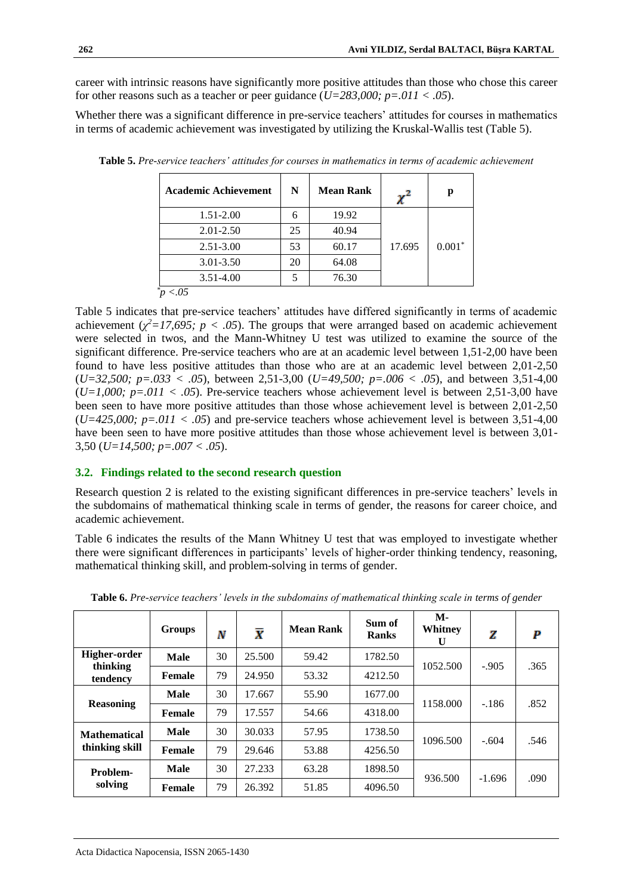career with intrinsic reasons have significantly more positive attitudes than those who chose this career for other reasons such as a teacher or peer guidance  $(U=283,000; p=.011 < .05)$ .

Whether there was a significant difference in pre-service teachers' attitudes for courses in mathematics in terms of academic achievement was investigated by utilizing the Kruskal-Wallis test (Table 5).

| <b>Academic Achievement</b> | N  | <b>Mean Rank</b> |        | p        |  |
|-----------------------------|----|------------------|--------|----------|--|
| 1.51-2.00                   | 6  | 19.92            |        |          |  |
| $2.01 - 2.50$               | 25 | 40.94            |        |          |  |
| $2.51 - 3.00$               | 53 | 60.17            | 17.695 | $0.001*$ |  |
| $3.01 - 3.50$               | 20 | 64.08            |        |          |  |
| $3.51 - 4.00$               | 5  | 76.30            |        |          |  |
|                             |    |                  |        |          |  |

**Table 5.** *Pre-service teachers' attitudes for courses in mathematics in terms of academic achievement*

Table 5 indicates that pre-service teachers' attitudes have differed significantly in terms of academic achievement ( $\chi^2$ =17,695; p < .05). The groups that were arranged based on academic achievement were selected in twos, and the Mann-Whitney U test was utilized to examine the source of the significant difference. Pre-service teachers who are at an academic level between 1,51-2,00 have been found to have less positive attitudes than those who are at an academic level between 2,01-2,50 (*U=32,500; p=.033 < .05*), between 2,51-3,00 (*U=49,500; p=.006 < .05*), and between 3,51-4,00  $(U=1,000; p=.011 < .05)$ . Pre-service teachers whose achievement level is between 2,51-3,00 have been seen to have more positive attitudes than those whose achievement level is between 2,01-2,50  $(U=425,000; p=.011 < .05)$  and pre-service teachers whose achievement level is between 3,51-4,00 have been seen to have more positive attitudes than those whose achievement level is between 3,01- 3,50 (*U=14,500; p=.007 < .05*).

## **3.2. Findings related to the second research question**

Research question 2 is related to the existing significant differences in pre-service teachers' levels in the subdomains of mathematical thinking scale in terms of gender, the reasons for career choice, and academic achievement.

Table 6 indicates the results of the Mann Whitney U test that was employed to investigate whether there were significant differences in participants' levels of higher-order thinking tendency, reasoning, mathematical thinking skill, and problem-solving in terms of gender.

|                          | <b>Groups</b> | N  | $\overline{\overline{X}}$ | <b>Mean Rank</b> | Sum of<br><b>Ranks</b> | <b>M-</b><br>Whitney<br>U | z        | P    |
|--------------------------|---------------|----|---------------------------|------------------|------------------------|---------------------------|----------|------|
| Higher-order<br>thinking | <b>Male</b>   | 30 | 25.500                    | 59.42            | 1782.50                | 1052.500                  | $-.905$  | .365 |
| tendency                 | <b>Female</b> | 79 | 24.950                    | 53.32            | 4212.50                |                           |          |      |
| <b>Reasoning</b>         | <b>Male</b>   | 30 | 17.667                    | 55.90            | 1677.00                | 1158.000                  | $-186$   | .852 |
|                          | <b>Female</b> | 79 | 17.557                    | 54.66            | 4318.00                |                           |          |      |
| <b>Mathematical</b>      | <b>Male</b>   | 30 | 30.033                    | 57.95            | 1738.50                | 1096.500                  | $-.604$  | .546 |
| thinking skill           | <b>Female</b> | 79 | 29.646                    | 53.88            | 4256.50                |                           |          |      |
| Problem-                 | <b>Male</b>   | 30 | 27.233                    | 63.28            | 1898.50                |                           |          |      |
| solving                  | <b>Female</b> | 79 | 26.392                    | 51.85            | 4096.50                | 936.500                   | $-1.696$ | .090 |

**Table 6.** *Pre-service teachers' levels in the subdomains of mathematical thinking scale in terms of gender*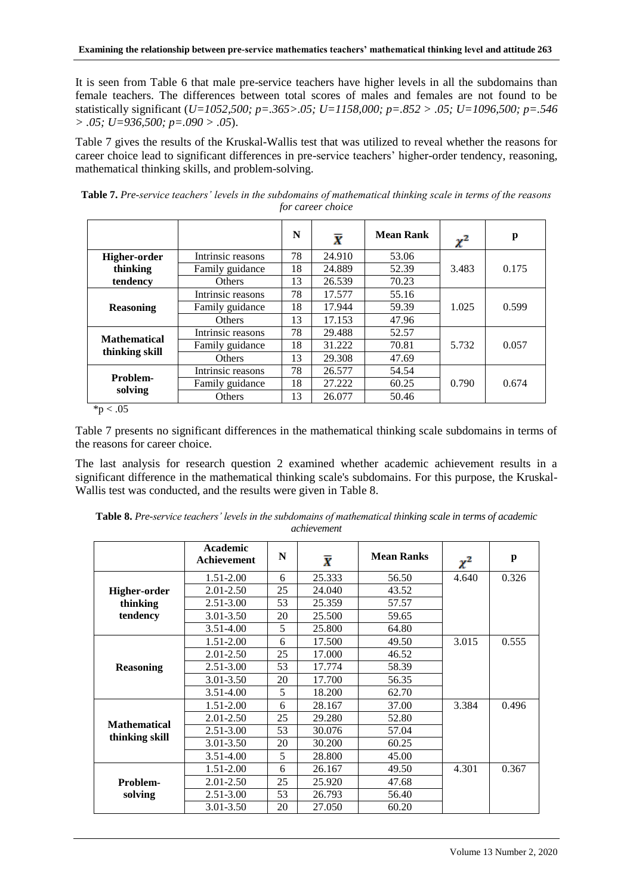It is seen from Table 6 that male pre-service teachers have higher levels in all the subdomains than female teachers. The differences between total scores of males and females are not found to be statistically significant (*U=1052,500; p=.365>.05; U=1158,000; p=.852 > .05; U=1096,500; p=.546 > .05; U=936,500; p=.090 > .05*).

Table 7 gives the results of the Kruskal-Wallis test that was utilized to reveal whether the reasons for career choice lead to significant differences in pre-service teachers' higher-order tendency, reasoning, mathematical thinking skills, and problem-solving.

|                     |                   | N  | $\bar{\textbf{x}}$ | <b>Mean Rank</b> | $\chi^2$ | p     |
|---------------------|-------------------|----|--------------------|------------------|----------|-------|
| <b>Higher-order</b> | Intrinsic reasons | 78 | 24.910             | 53.06            |          |       |
| thinking            | Family guidance   | 18 | 24.889             | 52.39            | 3.483    | 0.175 |
| tendency            | <b>Others</b>     | 13 | 26.539             | 70.23            |          |       |
| <b>Reasoning</b>    | Intrinsic reasons | 78 | 17.577             | 55.16            |          |       |
|                     | Family guidance   | 18 | 17.944             | 59.39            | 1.025    | 0.599 |
|                     | Others            | 13 | 17.153             | 47.96            |          |       |
|                     | Intrinsic reasons | 78 | 29.488             | 52.57            |          |       |
| <b>Mathematical</b> | Family guidance   | 18 | 31.222             | 70.81            | 5.732    | 0.057 |
| thinking skill      | <b>Others</b>     | 13 | 29.308             | 47.69            |          |       |
| Problem-            | Intrinsic reasons | 78 | 26.577             | 54.54            |          |       |
|                     | Family guidance   | 18 | 27.222             | 60.25            | 0.790    | 0.674 |
| solving             | Others            | 13 | 26.077             | 50.46            |          |       |

**Table 7.** *Pre-service teachers' levels in the subdomains of mathematical thinking scale in terms of the reasons for career choice*

 $*p < .05$ 

Table 7 presents no significant differences in the mathematical thinking scale subdomains in terms of the reasons for career choice.

The last analysis for research question 2 examined whether academic achievement results in a significant difference in the mathematical thinking scale's subdomains. For this purpose, the Kruskal-Wallis test was conducted, and the results were given in Table 8.

|                     | Academic<br><b>Achievement</b> | N  | $\bar{\textbf{x}}$ | <b>Mean Ranks</b> | $\chi^2$ | p     |
|---------------------|--------------------------------|----|--------------------|-------------------|----------|-------|
|                     | $1.51 - 2.00$                  | 6  | 25.333             | 56.50             | 4.640    | 0.326 |
| Higher-order        | $2.01 - 2.50$                  | 25 | 24.040             | 43.52             |          |       |
| thinking            | $2.51 - 3.00$                  | 53 | 25.359             | 57.57             |          |       |
| tendency            | 3.01-3.50                      | 20 | 25.500             | 59.65             |          |       |
|                     | $3.51 - 4.00$                  | 5  | 25.800             | 64.80             |          |       |
|                     | $1.51 - 2.00$                  | 6  | 17.500             | 49.50             | 3.015    | 0.555 |
|                     | 2.01-2.50                      | 25 | 17.000             | 46.52             |          |       |
| <b>Reasoning</b>    | $2.51 - 3.00$                  | 53 | 17.774             | 58.39             |          |       |
|                     | 3.01-3.50                      | 20 | 17.700             | 56.35             |          |       |
|                     | $3.51 - 4.00$                  | 5  | 18.200             | 62.70             |          |       |
|                     | $1.51 - 2.00$                  | 6  | 28.167             | 37.00             | 3.384    | 0.496 |
| <b>Mathematical</b> | $2.01 - 2.50$                  | 25 | 29.280             | 52.80             |          |       |
|                     | $2.51 - 3.00$                  | 53 | 30.076             | 57.04             |          |       |
| thinking skill      | 3.01-3.50                      | 20 | 30.200             | 60.25             |          |       |
|                     | $3.51 - 4.00$                  | 5  | 28.800             | 45.00             |          |       |
|                     | $1.51 - 2.00$                  | 6  | 26.167             | 49.50             | 4.301    | 0.367 |
| Problem-            | $2.01 - 2.50$                  | 25 | 25.920             | 47.68             |          |       |
| solving             | $2.51 - 3.00$                  | 53 | 26.793             | 56.40             |          |       |
|                     | 3.01-3.50                      | 20 | 27.050             | 60.20             |          |       |

**Table 8.** *Pre-service teachers' levels in the subdomains of mathematical thinking scale in terms of academic achievement*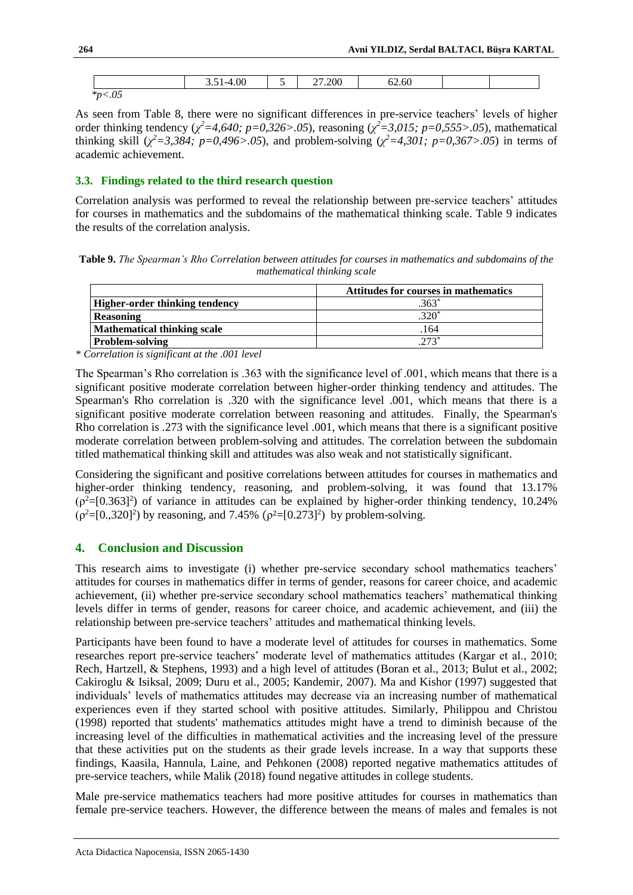|                               | 3.51-4.00 | -<br>ັ | 27.200 | 62.60 |  |
|-------------------------------|-----------|--------|--------|-------|--|
| $*_\mathcal{D} <$<br>$\sim$ v |           |        |        |       |  |

As seen from Table 8, there were no significant differences in pre-service teachers' levels of higher order thinking tendency ( $\chi^2$ =4,640; p=0,326>.05), reasoning ( $\chi^2$ =3,015; p=0,555>.05), mathematical thinking skill ( $\chi^2$ =3,384; p=0,496>.05), and problem-solving ( $\chi^2$ =4,301; p=0,367>.05) in terms of academic achievement.

#### **3.3. Findings related to the third research question**

Correlation analysis was performed to reveal the relationship between pre-service teachers' attitudes for courses in mathematics and the subdomains of the mathematical thinking scale. Table 9 indicates the results of the correlation analysis.

**Table 9.** *The Spearman's Rho Correlation between attitudes for courses in mathematics and subdomains of the mathematical thinking scale*

|                                    | <b>Attitudes for courses in mathematics</b> |
|------------------------------------|---------------------------------------------|
| Higher-order thinking tendency     | $363*$                                      |
| <b>Reasoning</b>                   | $.320*$                                     |
| <b>Mathematical thinking scale</b> | .164                                        |
| <b>Problem-solving</b>             | $273*$                                      |

*\* Correlation is significant at the .001 level*

The Spearman's Rho correlation is .363 with the significance level of .001, which means that there is a significant positive moderate correlation between higher-order thinking tendency and attitudes. The Spearman's Rho correlation is .320 with the significance level .001, which means that there is a significant positive moderate correlation between reasoning and attitudes. Finally, the Spearman's Rho correlation is .273 with the significance level .001, which means that there is a significant positive moderate correlation between problem-solving and attitudes. The correlation between the subdomain titled mathematical thinking skill and attitudes was also weak and not statistically significant.

Considering the significant and positive correlations between attitudes for courses in mathematics and higher-order thinking tendency, reasoning, and problem-solving, it was found that 13.17%  $(\rho^2=[0.363]^2)$  of variance in attitudes can be explained by higher-order thinking tendency, 10.24%  $(\rho^2 = [0, 320]^2)$  by reasoning, and 7.45%  $(\rho^2 = [0.273]^2)$  by problem-solving.

## **4. Conclusion and Discussion**

This research aims to investigate (i) whether pre-service secondary school mathematics teachers' attitudes for courses in mathematics differ in terms of gender, reasons for career choice, and academic achievement, (ii) whether pre-service secondary school mathematics teachers' mathematical thinking levels differ in terms of gender, reasons for career choice, and academic achievement, and (iii) the relationship between pre-service teachers' attitudes and mathematical thinking levels.

Participants have been found to have a moderate level of attitudes for courses in mathematics. Some researches report pre-service teachers' moderate level of mathematics attitudes (Kargar et al., 2010; Rech, Hartzell, & Stephens, 1993) and a high level of attitudes (Boran et al., 2013; Bulut et al., 2002; Cakiroglu & Isiksal, 2009; Duru et al., 2005; Kandemir, 2007). Ma and Kishor (1997) suggested that individuals' levels of mathematics attitudes may decrease via an increasing number of mathematical experiences even if they started school with positive attitudes. Similarly, Philippou and Christou (1998) reported that students' mathematics attitudes might have a trend to diminish because of the increasing level of the difficulties in mathematical activities and the increasing level of the pressure that these activities put on the students as their grade levels increase. In a way that supports these findings, Kaasila, Hannula, Laine, and Pehkonen (2008) reported negative mathematics attitudes of pre-service teachers, while Malik (2018) found negative attitudes in college students.

Male pre-service mathematics teachers had more positive attitudes for courses in mathematics than female pre-service teachers. However, the difference between the means of males and females is not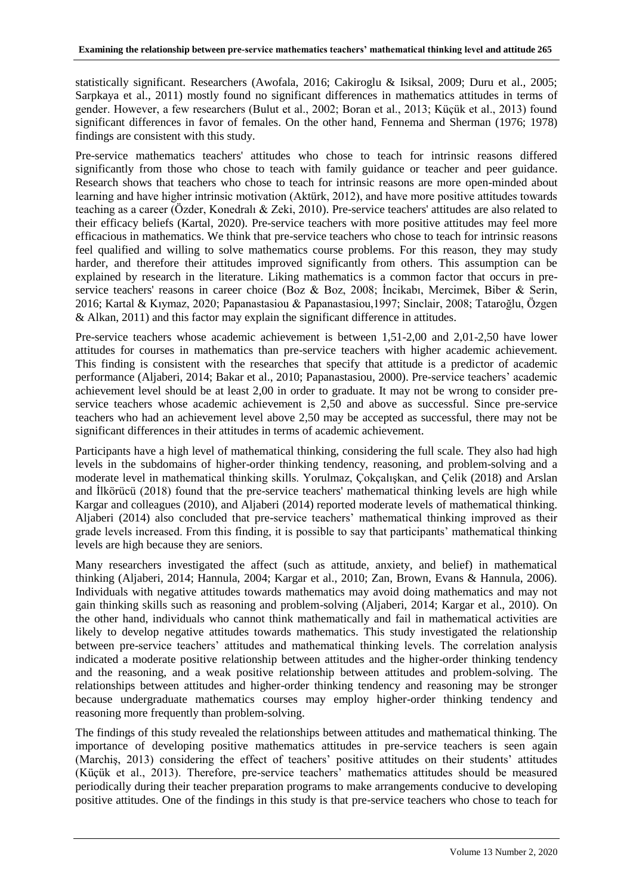statistically significant. Researchers (Awofala, 2016; Cakiroglu & Isiksal, 2009; Duru et al., 2005; Sarpkaya et al., 2011) mostly found no significant differences in mathematics attitudes in terms of gender. However, a few researchers (Bulut et al., 2002; Boran et al., 2013; Küçük et al., 2013) found significant differences in favor of females. On the other hand, Fennema and Sherman (1976; 1978) findings are consistent with this study.

Pre-service mathematics teachers' attitudes who chose to teach for intrinsic reasons differed significantly from those who chose to teach with family guidance or teacher and peer guidance. Research shows that teachers who chose to teach for intrinsic reasons are more open-minded about learning and have higher intrinsic motivation (Aktürk, 2012), and have more positive attitudes towards teaching as a career (Özder, Konedralı & Zeki, 2010). Pre-service teachers' attitudes are also related to their efficacy beliefs (Kartal, 2020). Pre-service teachers with more positive attitudes may feel more efficacious in mathematics. We think that pre-service teachers who chose to teach for intrinsic reasons feel qualified and willing to solve mathematics course problems. For this reason, they may study harder, and therefore their attitudes improved significantly from others. This assumption can be explained by research in the literature. Liking mathematics is a common factor that occurs in preservice teachers' reasons in career choice (Boz & Boz, 2008; İncikabı, Mercimek, Biber & Serin, 2016; Kartal & Kıymaz, 2020; Papanastasiou & Papanastasiou,1997; Sinclair, 2008; Tataroğlu, Özgen & Alkan, 2011) and this factor may explain the significant difference in attitudes.

Pre-service teachers whose academic achievement is between 1,51-2,00 and 2,01-2,50 have lower attitudes for courses in mathematics than pre-service teachers with higher academic achievement. This finding is consistent with the researches that specify that attitude is a predictor of academic performance (Aljaberi, 2014; Bakar et al., 2010; Papanastasiou, 2000). Pre-service teachers' academic achievement level should be at least 2,00 in order to graduate. It may not be wrong to consider preservice teachers whose academic achievement is 2,50 and above as successful. Since pre-service teachers who had an achievement level above 2,50 may be accepted as successful, there may not be significant differences in their attitudes in terms of academic achievement.

Participants have a high level of mathematical thinking, considering the full scale. They also had high levels in the subdomains of higher-order thinking tendency, reasoning, and problem-solving and a moderate level in mathematical thinking skills. Yorulmaz, Çokçalışkan, and Çelik (2018) and Arslan and İlkörücü (2018) found that the pre-service teachers' mathematical thinking levels are high while Kargar and colleagues (2010), and Aljaberi (2014) reported moderate levels of mathematical thinking. Aljaberi (2014) also concluded that pre-service teachers' mathematical thinking improved as their grade levels increased. From this finding, it is possible to say that participants' mathematical thinking levels are high because they are seniors.

Many researchers investigated the affect (such as attitude, anxiety, and belief) in mathematical thinking (Aljaberi, 2014; Hannula, 2004; Kargar et al., 2010; Zan, Brown, Evans & Hannula, 2006). Individuals with negative attitudes towards mathematics may avoid doing mathematics and may not gain thinking skills such as reasoning and problem-solving (Aljaberi, 2014; Kargar et al., 2010). On the other hand, individuals who cannot think mathematically and fail in mathematical activities are likely to develop negative attitudes towards mathematics. This study investigated the relationship between pre-service teachers' attitudes and mathematical thinking levels. The correlation analysis indicated a moderate positive relationship between attitudes and the higher-order thinking tendency and the reasoning, and a weak positive relationship between attitudes and problem-solving. The relationships between attitudes and higher-order thinking tendency and reasoning may be stronger because undergraduate mathematics courses may employ higher-order thinking tendency and reasoning more frequently than problem-solving.

The findings of this study revealed the relationships between attitudes and mathematical thinking. The importance of developing positive mathematics attitudes in pre-service teachers is seen again (Marchiş, 2013) considering the effect of teachers' positive attitudes on their students' attitudes (Küçük et al., 2013). Therefore, pre-service teachers' mathematics attitudes should be measured periodically during their teacher preparation programs to make arrangements conducive to developing positive attitudes. One of the findings in this study is that pre-service teachers who chose to teach for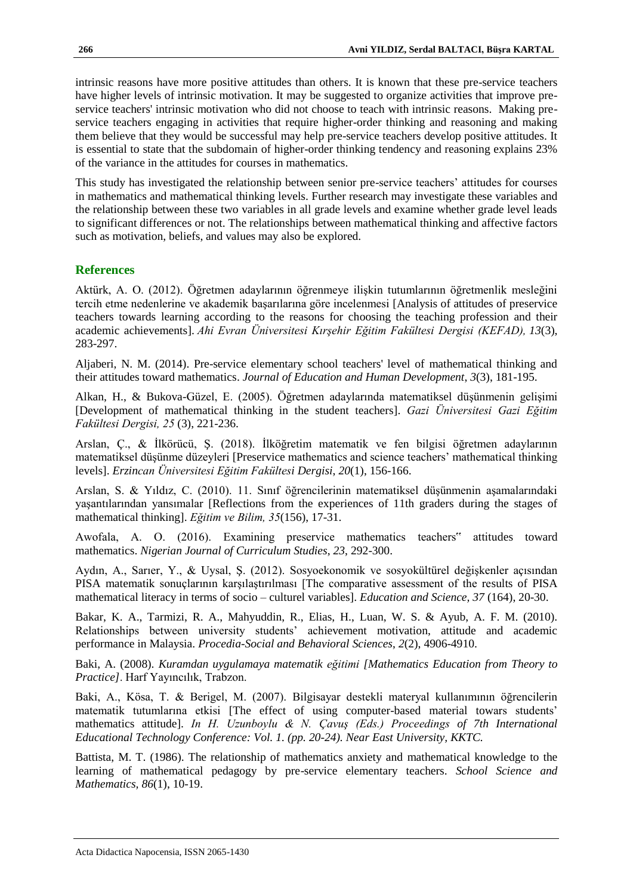intrinsic reasons have more positive attitudes than others. It is known that these pre-service teachers have higher levels of intrinsic motivation. It may be suggested to organize activities that improve preservice teachers' intrinsic motivation who did not choose to teach with intrinsic reasons. Making preservice teachers engaging in activities that require higher-order thinking and reasoning and making them believe that they would be successful may help pre-service teachers develop positive attitudes. It is essential to state that the subdomain of higher-order thinking tendency and reasoning explains 23% of the variance in the attitudes for courses in mathematics.

This study has investigated the relationship between senior pre-service teachers' attitudes for courses in mathematics and mathematical thinking levels. Further research may investigate these variables and the relationship between these two variables in all grade levels and examine whether grade level leads to significant differences or not. The relationships between mathematical thinking and affective factors such as motivation, beliefs, and values may also be explored.

#### **References**

Aktürk, A. O. (2012). Öğretmen adaylarının öğrenmeye ilişkin tutumlarının öğretmenlik mesleğini tercih etme nedenlerine ve akademik başarılarına göre incelenmesi [Analysis of attitudes of preservice teachers towards learning according to the reasons for choosing the teaching profession and their academic achievements]. *Ahi Evran Üniversitesi Kırşehir Eğitim Fakültesi Dergisi (KEFAD), 13*(3), 283-297.

Aljaberi, N. M. (2014). Pre-service elementary school teachers' level of mathematical thinking and their attitudes toward mathematics. *Journal of Education and Human Development*, *3*(3), 181-195.

Alkan, H., & Bukova-Güzel, E. (2005). Öğretmen adaylarında matematiksel düşünmenin gelişimi [Development of mathematical thinking in the student teachers]. *Gazi Üniversitesi Gazi Eğitim Fakültesi Dergisi, 25* (3), 221-236.

Arslan, Ç., & İlkörücü, Ş. (2018). İlköğretim matematik ve fen bilgisi öğretmen adaylarının matematiksel düşünme düzeyleri [Preservice mathematics and science teachers' mathematical thinking levels]. *Erzincan Üniversitesi Eğitim Fakültesi Dergisi*, *20*(1), 156-166.

Arslan, S. & Yıldız, C. (2010). 11. Sınıf öğrencilerinin matematiksel düşünmenin aşamalarındaki yaşantılarından yansımalar [Reflections from the experiences of 11th graders during the stages of mathematical thinking]. *Eğitim ve Bilim, 35*(156), 17-31.

Awofala, A. O. (2016). Examining preservice mathematics teachers" attitudes toward mathematics. *Nigerian Journal of Curriculum Studies*, *23*, 292-300.

Aydın, A., Sarıer, Y., & Uysal, Ş. (2012). Sosyoekonomik ve sosyokültürel değişkenler açısından PISA matematik sonuçlarının karşılaştırılması [The comparative assessment of the results of PISA mathematical literacy in terms of socio – culturel variables]. *Education and Science, 37* (164), 20-30.

Bakar, K. A., Tarmizi, R. A., Mahyuddin, R., Elias, H., Luan, W. S. & Ayub, A. F. M. (2010). Relationships between university students' achievement motivation, attitude and academic performance in Malaysia. *Procedia-Social and Behavioral Sciences*, *2*(2), 4906-4910.

Baki, A. (2008). *Kuramdan uygulamaya matematik eğitimi [Mathematics Education from Theory to Practice]*. Harf Yayıncılık, Trabzon.

Baki, A., Kösa, T. & Berigel, M. (2007). Bilgisayar destekli materyal kullanımının öğrencilerin matematik tutumlarına etkisi [The effect of using computer-based material towars students' mathematics attitude]. *In H. Uzunboylu & N. Çavuş (Eds.) Proceedings of 7th International Educational Technology Conference: Vol. 1. (pp. 20-24). Near East University, KKTC.*

Battista, M. T. (1986). The relationship of mathematics anxiety and mathematical knowledge to the learning of mathematical pedagogy by pre-service elementary teachers. *School Science and Mathematics, 86*(1), 10-19.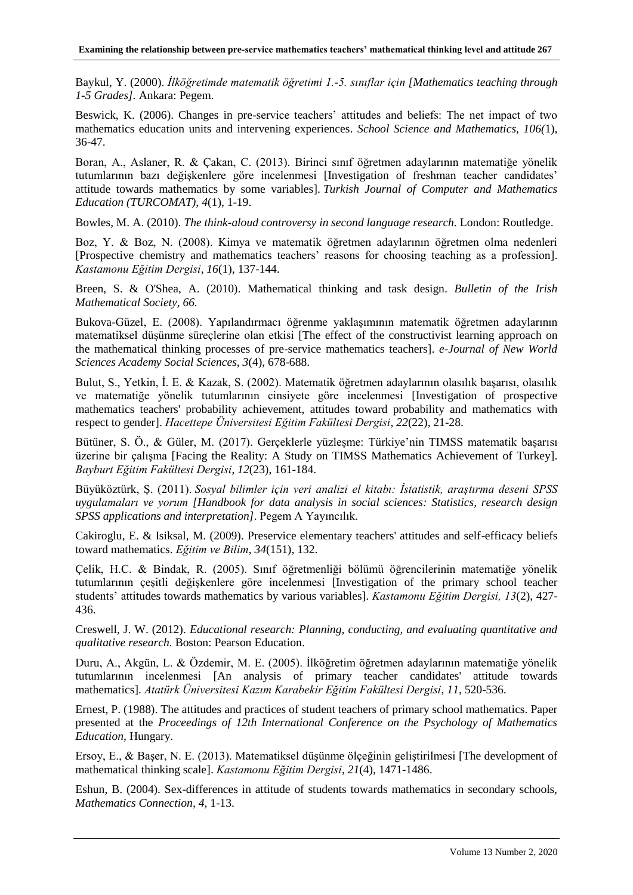Baykul, Y. (2000). *İlköğretimde matematik öğretimi 1.-5. sınıflar için [Mathematics teaching through 1-5 Grades].* Ankara: Pegem.

Beswick, K. (2006). Changes in pre-service teachers' attitudes and beliefs: The net impact of two mathematics education units and intervening experiences. *School Science and Mathematics, 106(*1), 36-47.

Boran, A., Aslaner, R. & Çakan, C. (2013). Birinci sınıf öğretmen adaylarının matematiğe yönelik tutumlarının bazı değişkenlere göre incelenmesi [Investigation of freshman teacher candidates' attitude towards mathematics by some variables]. *Turkish Journal of Computer and Mathematics Education (TURCOMAT)*, *4*(1), 1-19.

Bowles, M. A. (2010). *The think-aloud controversy in second language research.* London: Routledge.

Boz, Y. & Boz, N. (2008). Kimya ve matematik öğretmen adaylarının öğretmen olma nedenleri [Prospective chemistry and mathematics teachers' reasons for choosing teaching as a profession]. *Kastamonu Eğitim Dergisi*, *16*(1), 137-144.

Breen, S. & O'Shea, A. (2010). Mathematical thinking and task design. *Bulletin of the Irish Mathematical Society, 66.*

Bukova-Güzel, E. (2008). Yapılandırmacı öğrenme yaklaşımının matematik öğretmen adaylarının matematiksel düşünme süreçlerine olan etkisi [The effect of the constructivist learning approach on the mathematical thinking processes of pre-service mathematics teachers]. *e-Journal of New World Sciences Academy Social Sciences, 3*(4), 678-688.

Bulut, S., Yetkin, İ. E. & Kazak, S. (2002). Matematik öğretmen adaylarının olasılık başarısı, olasılık ve matematiğe yönelik tutumlarının cinsiyete göre incelenmesi [Investigation of prospective mathematics teachers' probability achievement, attitudes toward probability and mathematics with respect to gender]. *Hacettepe Üniversitesi Eğitim Fakültesi Dergisi*, *22*(22), 21-28.

Bütüner, S. Ö., & Güler, M. (2017). Gerçeklerle yüzleşme: Türkiye'nin TIMSS matematik başarısı üzerine bir çalışma [Facing the Reality: A Study on TIMSS Mathematics Achievement of Turkey]. *Bayburt Eğitim Fakültesi Dergisi*, *12*(23), 161-184.

Büyüköztürk, Ş. (2011). *Sosyal bilimler için veri analizi el kitabı: İstatistik, araştırma deseni SPSS uygulamaları ve yorum [Handbook for data analysis in social sciences: Statistics, research design SPSS applications and interpretation]*. Pegem A Yayıncılık.

Cakiroglu, E. & Isiksal, M. (2009). Preservice elementary teachers' attitudes and self-efficacy beliefs toward mathematics. *Eğitim ve Bilim*, *34*(151), 132.

Çelik, H.C. & Bindak, R. (2005). Sınıf öğretmenliği bölümü öğrencilerinin matematiğe yönelik tutumlarının çeşitli değişkenlere göre incelenmesi [Investigation of the primary school teacher students' attitudes towards mathematics by various variables]. *Kastamonu Eğitim Dergisi, 13*(2), 427- 436.

Creswell, J. W. (2012). *Educational research: Planning, conducting, and evaluating quantitative and qualitative research.* Boston: Pearson Education.

Duru, A., Akgün, L. & Özdemir, M. E. (2005). İlköğretim öğretmen adaylarının matematiğe yönelik tutumlarının incelenmesi [An analysis of primary teacher candidates' attitude towards mathematics]. *Atatürk Üniversitesi Kazım Karabekir Eğitim Fakültesi Dergisi*, *11*, 520-536.

Ernest, P. (1988). The attitudes and practices of student teachers of primary school mathematics. Paper presented at the *Proceedings of 12th International Conference on the Psychology of Mathematics Education*, Hungary.

Ersoy, E., & Başer, N. E. (2013). Matematiksel düşünme ölçeğinin geliştirilmesi [The development of mathematical thinking scale]. *Kastamonu Eğitim Dergisi*, *21*(4), 1471-1486.

Eshun, B. (2004). Sex-differences in attitude of students towards mathematics in secondary schools, *Mathematics Connection, 4*, 1-13.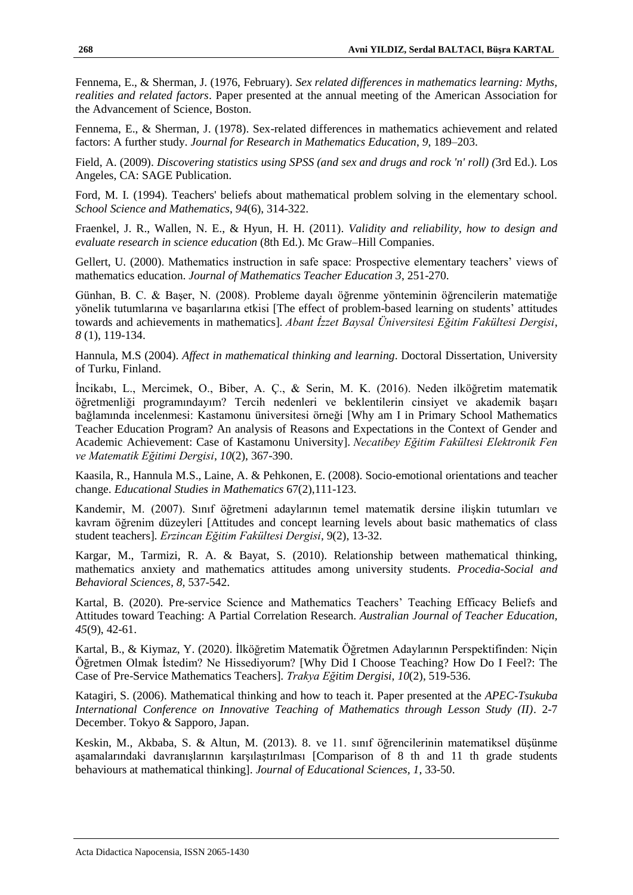Fennema, E., & Sherman, J. (1976, February). *Sex related differences in mathematics learning: Myths, realities and related factors*. Paper presented at the annual meeting of the American Association for the Advancement of Science, Boston.

Fennema, E., & Sherman, J. (1978). Sex-related differences in mathematics achievement and related factors: A further study. *Journal for Research in Mathematics Education*, *9*, 189–203.

Field, A. (2009). *Discovering statistics using SPSS (and sex and drugs and rock 'n' roll) (*3rd Ed.). Los Angeles, CA: SAGE Publication.

Ford, M. I. (1994). Teachers' beliefs about mathematical problem solving in the elementary school. *School Science and Mathematics*, *94*(6), 314-322.

Fraenkel, J. R., Wallen, N. E., & Hyun, H. H. (2011). *Validity and reliability, how to design and evaluate research in science education* (8th Ed.). Mc Graw–Hill Companies.

Gellert, U. (2000). Mathematics instruction in safe space: Prospective elementary teachers' views of mathematics education. *Journal of Mathematics Teacher Education 3*, 251-270.

Günhan, B. C. & Başer, N. (2008). Probleme dayalı öğrenme yönteminin öğrencilerin matematiğe yönelik tutumlarına ve başarılarına etkisi [The effect of problem-based learning on students' attitudes towards and achievements in mathematics]. *Abant İzzet Baysal Üniversitesi Eğitim Fakültesi Dergisi*, *8* (1), 119-134.

Hannula, M.S (2004). *Affect in mathematical thinking and learning*. Doctoral Dissertation, University of Turku, Finland.

İncikabı, L., Mercimek, O., Biber, A. Ç., & Serin, M. K. (2016). Neden ilköğretim matematik öğretmenliği programındayım? Tercih nedenleri ve beklentilerin cinsiyet ve akademik başarı bağlamında incelenmesi: Kastamonu üniversitesi örneği [Why am I in Primary School Mathematics Teacher Education Program? An analysis of Reasons and Expectations in the Context of Gender and Academic Achievement: Case of Kastamonu University]. *Necatibey Eğitim Fakültesi Elektronik Fen ve Matematik Eğitimi Dergisi*, *10*(2), 367-390.

Kaasila, R., Hannula M.S., Laine, A. & Pehkonen, E. (2008). Socio-emotional orientations and teacher change. *Educational Studies in Mathematics* 67(2),111-123.

Kandemir, M. (2007). Sınıf öğretmeni adaylarının temel matematik dersine ilişkin tutumları ve kavram öğrenim düzeyleri [Attitudes and concept learning levels about basic mathematics of class student teachers]. *Erzincan Eğitim Fakültesi Dergisi*, 9(2), 13-32.

Kargar, M., Tarmizi, R. A. & Bayat, S. (2010). Relationship between mathematical thinking, mathematics anxiety and mathematics attitudes among university students. *Procedia-Social and Behavioral Sciences, 8,* 537-542.

Kartal, B. (2020). Pre-service Science and Mathematics Teachers' Teaching Efficacy Beliefs and Attitudes toward Teaching: A Partial Correlation Research. *Australian Journal of Teacher Education, 45*(9), 42-61.

Kartal, B., & Kiymaz, Y. (2020). İlköğretim Matematik Öğretmen Adaylarının Perspektifinden: Niçin Öğretmen Olmak İstedim? Ne Hissediyorum? [Why Did I Choose Teaching? How Do I Feel?: The Case of Pre-Service Mathematics Teachers]. *Trakya Eğitim Dergisi*, *10*(2), 519-536.

Katagiri, S. (2006). Mathematical thinking and how to teach it. Paper presented at the *APEC-Tsukuba International Conference on Innovative Teaching of Mathematics through Lesson Study (II)*. 2-7 December. Tokyo & Sapporo, Japan.

Keskin, M., Akbaba, S. & Altun, M. (2013). 8. ve 11. sınıf öğrencilerinin matematiksel düşünme aşamalarındaki davranışlarının karşılaştırılması [Comparison of 8 th and 11 th grade students behaviours at mathematical thinking]. *Journal of Educational Sciences, 1*, 33-50.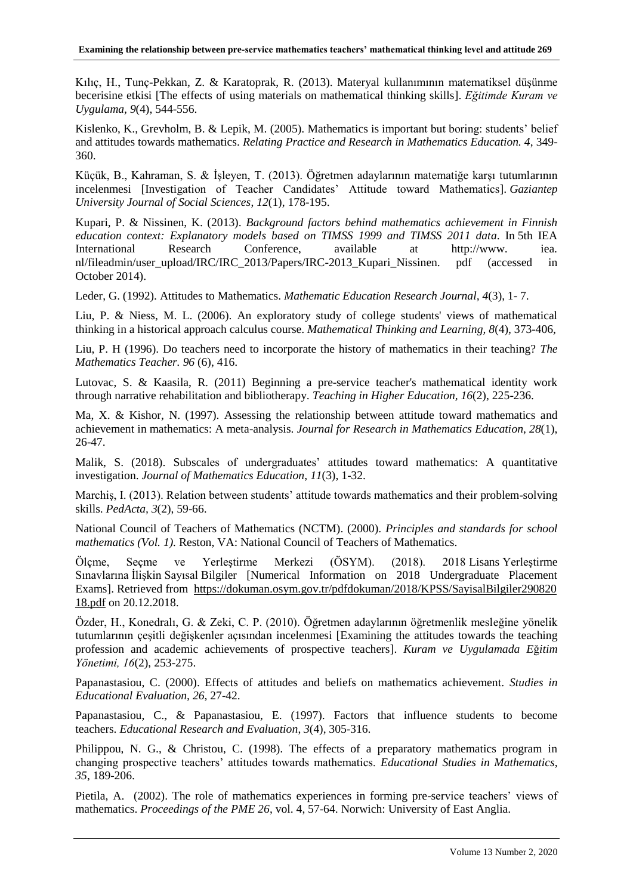Kılıç, H., Tunç-Pekkan, Z. & Karatoprak, R. (2013). Materyal kullanımının matematiksel düşünme becerisine etkisi [The effects of using materials on mathematical thinking skills]. *Eğitimde Kuram ve Uygulama, 9*(4), 544-556.

Kislenko, K., Grevholm, B. & Lepik, M. (2005). Mathematics is important but boring: students' belief and attitudes towards mathematics. *Relating Practice and Research in Mathematics Education. 4*, 349- 360.

Küçük, B., Kahraman, S. & İşleyen, T. (2013). Öğretmen adaylarının matematiğe karşı tutumlarının incelenmesi [Investigation of Teacher Candidates' Attitude toward Mathematics]. *Gaziantep University Journal of Social Sciences*, *12*(1), 178-195.

Kupari, P. & Nissinen, K. (2013). *Background factors behind mathematics achievement in Finnish education context: Explanatory models based on TIMSS 1999 and TIMSS 2011 data*. In 5th IEA International Research Conference, available at http://www. iea. nl/fileadmin/user\_upload/IRC/IRC\_2013/Papers/IRC-2013\_Kupari\_Nissinen. pdf (accessed in October 2014).

Leder, G. (1992). Attitudes to Mathematics. *Mathematic Education Research Journal, 4*(3), 1- 7.

Liu, P. & Niess, M. L. (2006). An exploratory study of college students' views of mathematical thinking in a historical approach calculus course. *Mathematical Thinking and Learning, 8*(4), 373-406,

Liu, P. H (1996). Do teachers need to incorporate the history of mathematics in their teaching? *The Mathematics Teacher. 96* (6), 416.

Lutovac, S. & Kaasila, R. (2011) Beginning a pre-service teacher's mathematical identity work through narrative rehabilitation and bibliotherapy. *Teaching in Higher Education, 16*(2), 225-236.

Ma, X. & Kishor, N. (1997). Assessing the relationship between attitude toward mathematics and achievement in mathematics: A meta-analysis. *Journal for Research in Mathematics Education*, *28*(1), 26-47.

Malik, S. (2018). Subscales of undergraduates' attitudes toward mathematics: A quantitative investigation. *Journal of Mathematics Education*, *11*(3), 1-32.

Marchiş, I. (2013). Relation between students' attitude towards mathematics and their problem-solving skills. *PedActa, 3*(2), 59-66.

National Council of Teachers of Mathematics (NCTM). (2000). *Principles and standards for school mathematics (Vol. 1).* Reston, VA: National Council of Teachers of Mathematics.

Ölçme, Seçme ve Yerleştirme Merkezi (ÖSYM). (2018). 2018 Lisans Yerleştirme Sınavlarına İlişkin Sayısal Bilgiler [Numerical Information on 2018 Undergraduate Placement Exams]. Retrieved from [https://dokuman.osym.gov.tr/pdfdokuman/2018/KPSS/SayisalBilgiler290820](https://dokuman.osym.gov.tr/pdfdokuman/2018/KPSS/SayisalBilgiler29082018.pdf) [18.pdf](https://dokuman.osym.gov.tr/pdfdokuman/2018/KPSS/SayisalBilgiler29082018.pdf) on 20.12.2018.

Özder, H., Konedralı, G. & Zeki, C. P. (2010). Öğretmen adaylarının öğretmenlik mesleğine yönelik tutumlarının çeşitli değişkenler açısından incelenmesi [Examining the attitudes towards the teaching profession and academic achievements of prospective teachers]. *Kuram ve Uygulamada E*ğ*itim Yönetimi, 16*(2), 253-275.

Papanastasiou, C. (2000). Effects of attitudes and beliefs on mathematics achievement. *Studies in Educational Evaluation, 26*, 27-42.

Papanastasiou, C., & Papanastasiou, E. (1997). Factors that influence students to become teachers. *Educational Research and Evaluation*, *3*(4), 305-316.

Philippou, N. G., & Christou, C. (1998). The effects of a preparatory mathematics program in changing prospective teachers' attitudes towards mathematics. *Educational Studies in Mathematics*, *35*, 189-206.

Pietila, A. (2002). The role of mathematics experiences in forming pre-service teachers' views of mathematics. *Proceedings of the PME 26*, vol. 4, 57-64. Norwich: University of East Anglia.